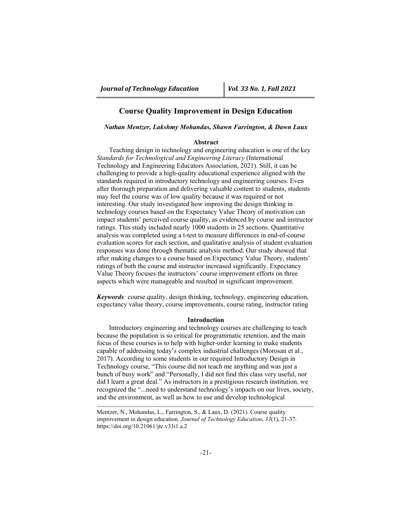# **Course Quality Improvement in Design Education**

## *Nathan Mentzer, Lakshmy Mohandas, Shawn Farrington, & Dawn Laux*

#### **Abstract**

Teaching design in technology and engineering education is one of the key *Standards for Technological and Engineering Literacy* (International Technology and Engineering Educators Association, 2021). Still, it can be challenging to provide a high-quality educational experience aligned with the standards required in introductory technology and engineering courses. Even after thorough preparation and delivering valuable content to students, students may feel the course was of low quality because it was required or not interesting. Our study investigated how improving the design thinking in technology courses based on the Expectancy Value Theory of motivation can impact students' perceived course quality, as evidenced by course and instructor ratings. This study included nearly 1000 students in 25 sections. Quantitative analysis was completed using a t-test to measure differences in end-of-course evaluation scores for each section, and qualitative analysis of student evaluation responses was done through thematic analysis method. Our study showed that after making changes to a course based on Expectancy Value Theory, students' ratings of both the course and instructor increased significantly. Expectancy Value Theory focuses the instructors' course improvement efforts on three aspects which were manageable and resulted in significant improvement.

*Keywords:* course quality, design thinking, technology, engineering education, expectancy value theory, course improvements, course rating, instructor rating

### **Introduction**

Introductory engineering and technology courses are challenging to teach because the population is so critical for programmatic retention, and the main focus of these courses is to help with higher-order learning to make students capable of addressing today's complex industrial challenges (Morosan et al., 2017). According to some students in our required Introductory Design in Technology course, "This course did not teach me anything and was just a bunch of busy work" and "Personally, I did not find this class very useful, nor did I learn a great deal." As instructors in a prestigious research institution, we recognized the "...need to understand technology's impacts on our lives, society, and the environment, as well as how to use and develop technological

Mentzer, N., Mohandas, L., Farrington, S., & Laux, D. (2021). Course quality improvement in design education. *Journal of Technology Education*, *33*(1), 21-37. https://doi.org/10.21061/jte.v33i1.a.2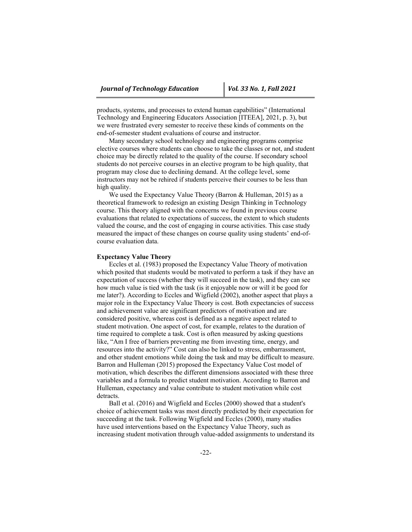products, systems, and processes to extend human capabilities" (International Technology and Engineering Educators Association [ITEEA], 2021, p. 3), but we were frustrated every semester to receive these kinds of comments on the end-of-semester student evaluations of course and instructor.

Many secondary school technology and engineering programs comprise elective courses where students can choose to take the classes or not, and student choice may be directly related to the quality of the course. If secondary school students do not perceive courses in an elective program to be high quality, that program may close due to declining demand. At the college level, some instructors may not be rehired if students perceive their courses to be less than high quality.

We used the Expectancy Value Theory (Barron & Hulleman, 2015) as a theoretical framework to redesign an existing Design Thinking in Technology course. This theory aligned with the concerns we found in previous course evaluations that related to expectations of success, the extent to which students valued the course, and the cost of engaging in course activities. This case study measured the impact of these changes on course quality using students' end-ofcourse evaluation data.

#### **Expectancy Value Theory**

Eccles et al. (1983) proposed the Expectancy Value Theory of motivation which posited that students would be motivated to perform a task if they have an expectation of success (whether they will succeed in the task), and they can see how much value is tied with the task (is it enjoyable now or will it be good for me later?). According to Eccles and Wigfield (2002), another aspect that plays a major role in the Expectancy Value Theory is cost. Both expectancies of success and achievement value are significant predictors of motivation and are considered positive, whereas cost is defined as a negative aspect related to student motivation. One aspect of cost, for example, relates to the duration of time required to complete a task. Cost is often measured by asking questions like, "Am I free of barriers preventing me from investing time, energy, and resources into the activity?" Cost can also be linked to stress, embarrassment, and other student emotions while doing the task and may be difficult to measure. Barron and Hulleman (2015) proposed the Expectancy Value Cost model of motivation, which describes the different dimensions associated with these three variables and a formula to predict student motivation. According to Barron and Hulleman, expectancy and value contribute to student motivation while cost detracts.

Ball et al. (2016) and Wigfield and Eccles (2000) showed that a student's choice of achievement tasks was most directly predicted by their expectation for succeeding at the task. Following Wigfield and Eccles (2000), many studies have used interventions based on the Expectancy Value Theory, such as increasing student motivation through value-added assignments to understand its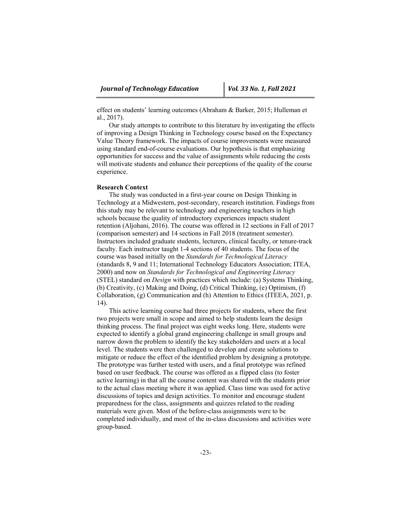effect on students' learning outcomes (Abraham & Barker, 2015; Hulleman et al., 2017).

Our study attempts to contribute to this literature by investigating the effects of improving a Design Thinking in Technology course based on the Expectancy Value Theory framework. The impacts of course improvements were measured using standard end-of-course evaluations. Our hypothesis is that emphasizing opportunities for success and the value of assignments while reducing the costs will motivate students and enhance their perceptions of the quality of the course experience.

## **Research Context**

The study was conducted in a first-year course on Design Thinking in Technology at a Midwestern, post-secondary, research institution. Findings from this study may be relevant to technology and engineering teachers in high schools because the quality of introductory experiences impacts student retention (Aljohani, 2016). The course was offered in 12 sections in Fall of 2017 (comparison semester) and 14 sections in Fall 2018 (treatment semester). Instructors included graduate students, lecturers, clinical faculty, or tenure-track faculty. Each instructor taught 1-4 sections of 40 students. The focus of the course was based initially on the *Standards for Technological Literacy* (standards 8, 9 and 11; International Technology Educators Association; ITEA, 2000) and now on *Standards for Technological and Engineering Literacy* (STEL) standard on *Design* with practices which include: (a) Systems Thinking, (b) Creativity, (c) Making and Doing, (d) Critical Thinking, (e) Optimism, (f) Collaboration, (g) Communication and (h) Attention to Ethics (ITEEA, 2021, p. 14).

This active learning course had three projects for students, where the first two projects were small in scope and aimed to help students learn the design thinking process. The final project was eight weeks long. Here, students were expected to identify a global grand engineering challenge in small groups and narrow down the problem to identify the key stakeholders and users at a local level. The students were then challenged to develop and create solutions to mitigate or reduce the effect of the identified problem by designing a prototype. The prototype was further tested with users, and a final prototype was refined based on user feedback. The course was offered as a flipped class (to foster active learning) in that all the course content was shared with the students prior to the actual class meeting where it was applied. Class time was used for active discussions of topics and design activities. To monitor and encourage student preparedness for the class, assignments and quizzes related to the reading materials were given. Most of the before-class assignments were to be completed individually, and most of the in-class discussions and activities were group-based.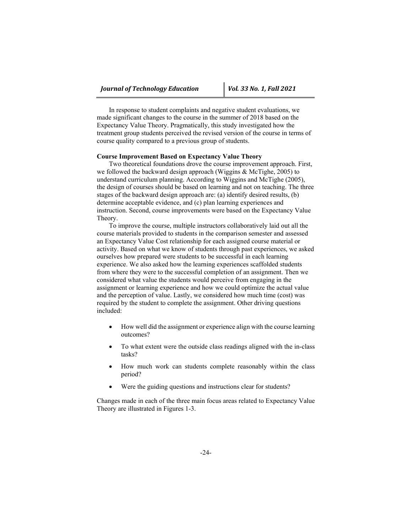In response to student complaints and negative student evaluations, we made significant changes to the course in the summer of 2018 based on the Expectancy Value Theory. Pragmatically, this study investigated how the treatment group students perceived the revised version of the course in terms of course quality compared to a previous group of students.

## **Course Improvement Based on Expectancy Value Theory**

Two theoretical foundations drove the course improvement approach. First, we followed the backward design approach (Wiggins & McTighe, 2005) to understand curriculum planning. According to Wiggins and McTighe (2005), the design of courses should be based on learning and not on teaching. The three stages of the backward design approach are: (a) identify desired results, (b) determine acceptable evidence, and (c) plan learning experiences and instruction. Second, course improvements were based on the Expectancy Value Theory.

To improve the course, multiple instructors collaboratively laid out all the course materials provided to students in the comparison semester and assessed an Expectancy Value Cost relationship for each assigned course material or activity. Based on what we know of students through past experiences, we asked ourselves how prepared were students to be successful in each learning experience. We also asked how the learning experiences scaffolded students from where they were to the successful completion of an assignment. Then we considered what value the students would perceive from engaging in the assignment or learning experience and how we could optimize the actual value and the perception of value. Lastly, we considered how much time (cost) was required by the student to complete the assignment. Other driving questions included:

- How well did the assignment or experience align with the course learning outcomes?
- To what extent were the outside class readings aligned with the in-class tasks?
- How much work can students complete reasonably within the class period?
- Were the guiding questions and instructions clear for students?

Changes made in each of the three main focus areas related to Expectancy Value Theory are illustrated in Figures 1-3.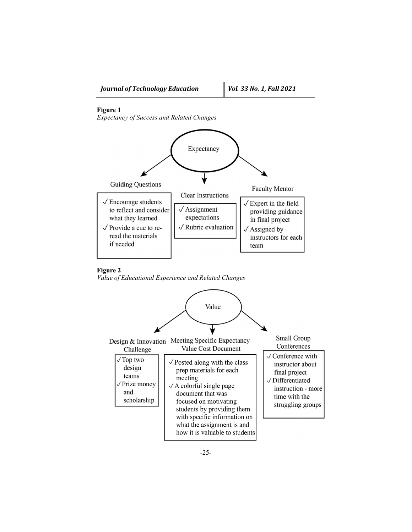# **Figure 1**

*Expectancy of Success and Related Changes* 



## **Figure 2**

*Value of Educational Experience and Related Changes* 

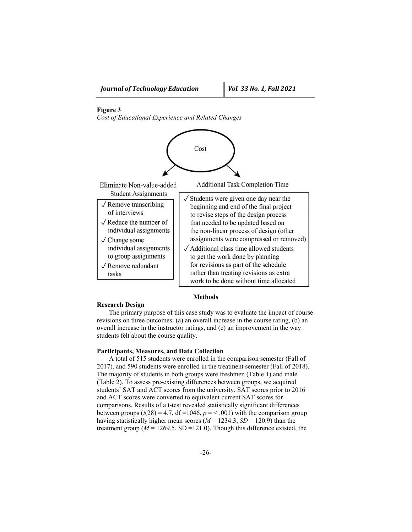# **Figure 3**

*Cost of Educational Experience and Related Changes* 



### **Methods**

### **Research Design**

The primary purpose of this case study was to evaluate the impact of course revisions on three outcomes: (a) an overall increase in the course rating, (b) an overall increase in the instructor ratings, and (c) an improvement in the way students felt about the course quality.

# **Participants, Measures, and Data Collection**

A total of 515 students were enrolled in the comparison semester (Fall of 2017), and 590 students were enrolled in the treatment semester (Fall of 2018). The majority of students in both groups were freshmen (Table 1) and male (Table 2). To assess pre-existing differences between groups, we acquired students' SAT and ACT scores from the university. SAT scores prior to 2016 and ACT scores were converted to equivalent current SAT scores for comparisons. Results of a t-test revealed statistically significant differences between groups  $(t(28) = 4.7, df = 1046, p = 0.001)$  with the comparison group having statistically higher mean scores ( $M = 1234.3$ ,  $SD = 120.9$ ) than the treatment group ( $M = 1269.5$ , SD = 121.0). Though this difference existed, the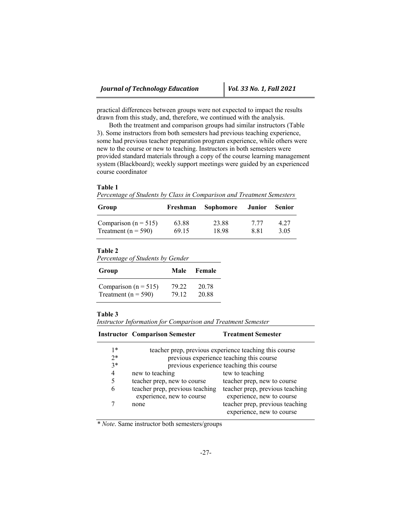practical differences between groups were not expected to impact the results drawn from this study, and, therefore, we continued with the analysis.

Both the treatment and comparison groups had similar instructors (Table 3). Some instructors from both semesters had previous teaching experience, some had previous teacher preparation program experience, while others were new to the course or new to teaching. Instructors in both semesters were provided standard materials through a copy of the course learning management system (Blackboard); weekly support meetings were guided by an experienced course coordinator

#### **Table 1**

*Percentage of Students by Class in Comparison and Treatment Semesters*

| Group                    | Freshman | Sophomore | Junior | <b>Senior</b> |
|--------------------------|----------|-----------|--------|---------------|
| Comparison ( $n = 515$ ) | 63.88    | 23.88     | 7.77   | 4.27          |
| Treatment ( $n = 590$ )  | 69.15    | 18.98     | 8.81   | 3.05          |

# **Table 2**

*Percentage of Students by Gender*

| Group                    | Male  | <b>Female</b> |
|--------------------------|-------|---------------|
| Comparison ( $n = 515$ ) | 79.22 | 20.78         |
| Treatment ( $n = 590$ )  | 79.12 | 20.88         |

## **Table 3**

*Instructor Information for Comparison and Treatment Semester*

|      | <b>Instructor Comparison Semester</b>                        | <b>Treatment Semester</b>                                    |
|------|--------------------------------------------------------------|--------------------------------------------------------------|
| $1*$ |                                                              | teacher prep, previous experience teaching this course       |
| $2*$ | previous experience teaching this course                     |                                                              |
| $3*$ | previous experience teaching this course                     |                                                              |
| 4    | new to teaching                                              | tew to teaching                                              |
| 5    | teacher prep, new to course                                  | teacher prep, new to course                                  |
| 6    | teacher prep, previous teaching<br>experience, new to course | teacher prep, previous teaching<br>experience, new to course |
|      | none                                                         | teacher prep, previous teaching<br>experience, new to course |

*\* Note*. Same instructor both semesters/groups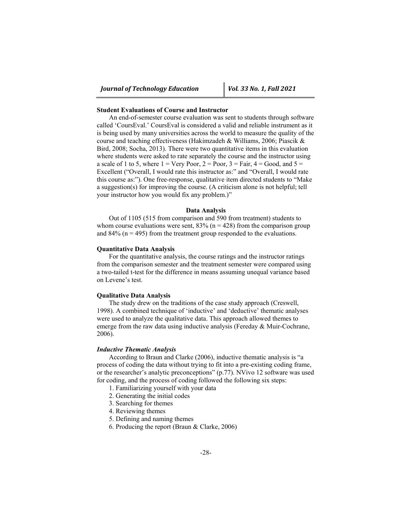## **Student Evaluations of Course and Instructor**

An end-of-semester course evaluation was sent to students through software called 'CoursEval.' CoursEval is considered a valid and reliable instrument as it is being used by many universities across the world to measure the quality of the course and teaching effectiveness (Hakimzadeh & Williams, 2006; Piascik & Bird, 2008; Socha, 2013). There were two quantitative items in this evaluation where students were asked to rate separately the course and the instructor using a scale of 1 to 5, where  $1 = \text{Very Poor}, 2 = \text{Poor}, 3 = \text{Fair}, 4 = \text{Good}, \text{ and } 5 =$ Excellent ("Overall, I would rate this instructor as:" and "Overall, I would rate this course as:"). One free-response, qualitative item directed students to "Make a suggestion(s) for improving the course. (A criticism alone is not helpful; tell your instructor how you would fix any problem.)"

### **Data Analysis**

Out of 1105 (515 from comparison and 590 from treatment) students to whom course evaluations were sent,  $83\%$  (n = 428) from the comparison group and  $84\%$  (n = 495) from the treatment group responded to the evaluations.

#### **Quantitative Data Analysis**

For the quantitative analysis, the course ratings and the instructor ratings from the comparison semester and the treatment semester were compared using a two-tailed t-test for the difference in means assuming unequal variance based on Levene's test.

#### **Qualitative Data Analysis**

The study drew on the traditions of the case study approach (Creswell, 1998). A combined technique of 'inductive' and 'deductive' thematic analyses were used to analyze the qualitative data. This approach allowed themes to emerge from the raw data using inductive analysis (Fereday & Muir-Cochrane, 2006).

## *Inductive Thematic Analysis*

According to Braun and Clarke (2006), inductive thematic analysis is "a process of coding the data without trying to fit into a pre-existing coding frame, or the researcher's analytic preconceptions" (p.77). NVivo 12 software was used for coding, and the process of coding followed the following six steps:

- 1. Familiarizing yourself with your data
- 2. Generating the initial codes
- 3. Searching for themes
- 4. Reviewing themes
- 5. Defining and naming themes
- 6. Producing the report (Braun & Clarke, 2006)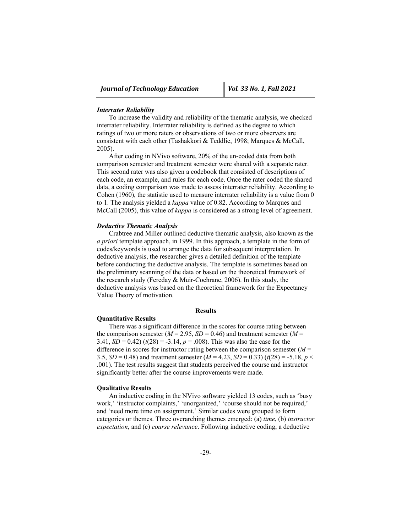#### *Interrater Reliability*

To increase the validity and reliability of the thematic analysis, we checked interrater reliability. Interrater reliability is defined as the degree to which ratings of two or more raters or observations of two or more observers are consistent with each other (Tashakkori & Teddlie, 1998; Marques & McCall, 2005).

After coding in NVivo software, 20% of the un-coded data from both comparison semester and treatment semester were shared with a separate rater. This second rater was also given a codebook that consisted of descriptions of each code, an example, and rules for each code. Once the rater coded the shared data, a coding comparison was made to assess interrater reliability. According to Cohen (1960), the statistic used to measure interrater reliability is a value from 0 to 1. The analysis yielded a *kappa* value of 0.82. According to Marques and McCall (2005), this value of *kappa* is considered as a strong level of agreement.

#### *Deductive Thematic Analysis*

Crabtree and Miller outlined deductive thematic analysis, also known as the *a priori* template approach, in 1999. In this approach, a template in the form of codes/keywords is used to arrange the data for subsequent interpretation. In deductive analysis, the researcher gives a detailed definition of the template before conducting the deductive analysis. The template is sometimes based on the preliminary scanning of the data or based on the theoretical framework of the research study (Fereday & Muir-Cochrane, 2006). In this study, the deductive analysis was based on the theoretical framework for the Expectancy Value Theory of motivation.

## **Results**

#### **Quantitative Results**

There was a significant difference in the scores for course rating between the comparison semester ( $M = 2.95$ ,  $SD = 0.46$ ) and treatment semester ( $M =$ 3.41,  $SD = 0.42$ ) ( $t(28) = -3.14$ ,  $p = .008$ ). This was also the case for the difference in scores for instructor rating between the comparison semester (*M* = 3.5,  $SD = 0.48$ ) and treatment semester  $(M = 4.23, SD = 0.33)$   $(t(28) = -5.18, p <$ .001). The test results suggest that students perceived the course and instructor significantly better after the course improvements were made.

### **Qualitative Results**

An inductive coding in the NVivo software yielded 13 codes, such as 'busy work,' 'instructor complaints,' 'unorganized,' 'course should not be required,' and 'need more time on assignment.' Similar codes were grouped to form categories or themes. Three overarching themes emerged: (a) *time*, (b) *instructor expectation*, and (c) *course relevance*. Following inductive coding, a deductive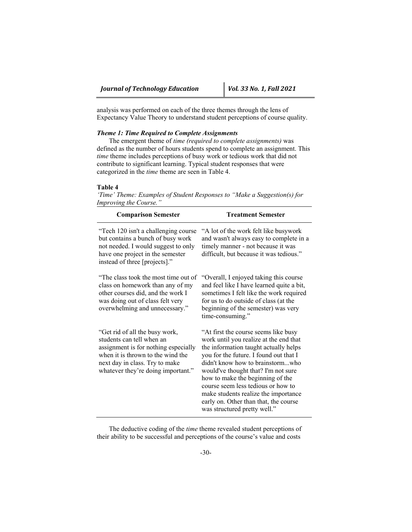analysis was performed on each of the three themes through the lens of Expectancy Value Theory to understand student perceptions of course quality.

# *Theme 1: Time Required to Complete Assignments*

The emergent theme of *time (required to complete assignments)* was defined as the number of hours students spend to complete an assignment. This *time* theme includes perceptions of busy work or tedious work that did not contribute to significant learning. Typical student responses that were categorized in the *time* theme are seen in Table 4.

#### **Table 4**

*'Time' Theme: Examples of Student Responses to "Make a Suggestion(s) for Improving the Course."* 

| <b>Comparison Semester</b>                                                                                                                                                                                       | <b>Treatment Semester</b>                                                                                                                                                                                                                                                                                                                                                                                                                |
|------------------------------------------------------------------------------------------------------------------------------------------------------------------------------------------------------------------|------------------------------------------------------------------------------------------------------------------------------------------------------------------------------------------------------------------------------------------------------------------------------------------------------------------------------------------------------------------------------------------------------------------------------------------|
| "Tech 120 isn't a challenging course<br>but contains a bunch of busy work<br>not needed. I would suggest to only<br>have one project in the semester<br>instead of three [projects]."                            | "A lot of the work felt like busywork<br>and wasn't always easy to complete in a<br>timely manner - not because it was<br>difficult, but because it was tedious."                                                                                                                                                                                                                                                                        |
| "The class took the most time out of<br>class on homework than any of my<br>other courses did, and the work I<br>was doing out of class felt very<br>overwhelming and unnecessary."                              | "Overall, I enjoyed taking this course<br>and feel like I have learned quite a bit,<br>sometimes I felt like the work required<br>for us to do outside of class (at the<br>beginning of the semester) was very<br>time-consuming."                                                                                                                                                                                                       |
| "Get rid of all the busy work,<br>students can tell when an<br>assignment is for nothing especially<br>when it is thrown to the wind the<br>next day in class. Try to make<br>whatever they're doing important." | "At first the course seems like busy"<br>work until you realize at the end that<br>the information taught actually helps<br>you for the future. I found out that I<br>didn't know how to brainstormwho<br>would've thought that? I'm not sure<br>how to make the beginning of the<br>course seem less tedious or how to<br>make students realize the importance<br>early on. Other than that, the course<br>was structured pretty well." |

The deductive coding of the *time* theme revealed student perceptions of their ability to be successful and perceptions of the course's value and costs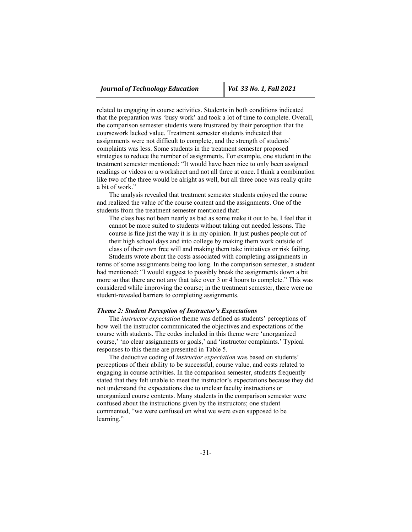related to engaging in course activities. Students in both conditions indicated that the preparation was 'busy work' and took a lot of time to complete. Overall, the comparison semester students were frustrated by their perception that the coursework lacked value. Treatment semester students indicated that assignments were not difficult to complete, and the strength of students' complaints was less. Some students in the treatment semester proposed strategies to reduce the number of assignments. For example, one student in the treatment semester mentioned: "It would have been nice to only been assigned readings or videos or a worksheet and not all three at once. I think a combination like two of the three would be alright as well, but all three once was really quite a bit of work."

The analysis revealed that treatment semester students enjoyed the course and realized the value of the course content and the assignments. One of the students from the treatment semester mentioned that:

The class has not been nearly as bad as some make it out to be. I feel that it cannot be more suited to students without taking out needed lessons. The course is fine just the way it is in my opinion. It just pushes people out of their high school days and into college by making them work outside of class of their own free will and making them take initiatives or risk failing.

Students wrote about the costs associated with completing assignments in terms of some assignments being too long. In the comparison semester, a student had mentioned: "I would suggest to possibly break the assignments down a bit more so that there are not any that take over 3 or 4 hours to complete." This was considered while improving the course; in the treatment semester, there were no student-revealed barriers to completing assignments.

### *Theme 2: Student Perception of Instructor's Expectations*

The *instructor expectation* theme was defined as students' perceptions of how well the instructor communicated the objectives and expectations of the course with students. The codes included in this theme were 'unorganized course,' 'no clear assignments or goals,' and 'instructor complaints.' Typical responses to this theme are presented in Table 5.

The deductive coding of *instructor expectation* was based on students' perceptions of their ability to be successful, course value, and costs related to engaging in course activities. In the comparison semester, students frequently stated that they felt unable to meet the instructor's expectations because they did not understand the expectations due to unclear faculty instructions or unorganized course contents. Many students in the comparison semester were confused about the instructions given by the instructors; one student commented, "we were confused on what we were even supposed to be learning."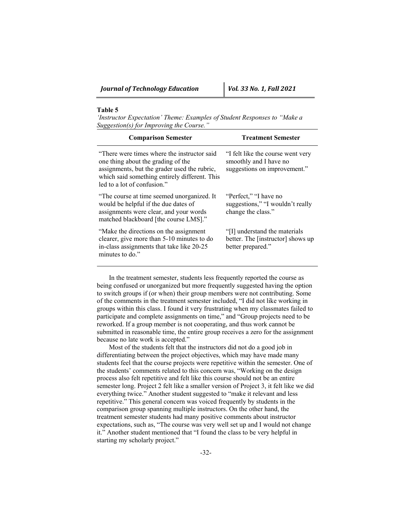## **Table 5**

*'Instructor Expectation' Theme: Examples of Student Responses to "Make a Suggestion(s) for Improving the Course."*

| <b>Comparison Semester</b>                                                                                                                                                                                         | <b>Treatment Semester</b>                                                                   |
|--------------------------------------------------------------------------------------------------------------------------------------------------------------------------------------------------------------------|---------------------------------------------------------------------------------------------|
| "There were times where the instructor said"<br>one thing about the grading of the<br>assignments, but the grader used the rubric,<br>which said something entirely different. This<br>led to a lot of confusion." | "I felt like the course went very<br>smoothly and I have no<br>suggestions on improvement." |
| "The course at time seemed unorganized. It<br>would be helpful if the due dates of<br>assignments were clear, and your words<br>matched blackboard [the course LMS]."                                              | "Perfect," "I have no<br>suggestions," "I wouldn't really<br>change the class."             |
| "Make the directions on the assignment"<br>clearer, give more than 5-10 minutes to do<br>in-class assignments that take like 20-25<br>minutes to do."                                                              | "[I] understand the materials<br>better. The [instructor] shows up<br>better prepared."     |

In the treatment semester, students less frequently reported the course as being confused or unorganized but more frequently suggested having the option to switch groups if (or when) their group members were not contributing. Some of the comments in the treatment semester included, "I did not like working in groups within this class. I found it very frustrating when my classmates failed to participate and complete assignments on time," and "Group projects need to be reworked. If a group member is not cooperating, and thus work cannot be submitted in reasonable time, the entire group receives a zero for the assignment because no late work is accepted."

Most of the students felt that the instructors did not do a good job in differentiating between the project objectives, which may have made many students feel that the course projects were repetitive within the semester. One of the students' comments related to this concern was, "Working on the design process also felt repetitive and felt like this course should not be an entire semester long. Project 2 felt like a smaller version of Project 3, it felt like we did everything twice." Another student suggested to "make it relevant and less repetitive." This general concern was voiced frequently by students in the comparison group spanning multiple instructors. On the other hand, the treatment semester students had many positive comments about instructor expectations, such as, "The course was very well set up and I would not change it." Another student mentioned that "I found the class to be very helpful in starting my scholarly project."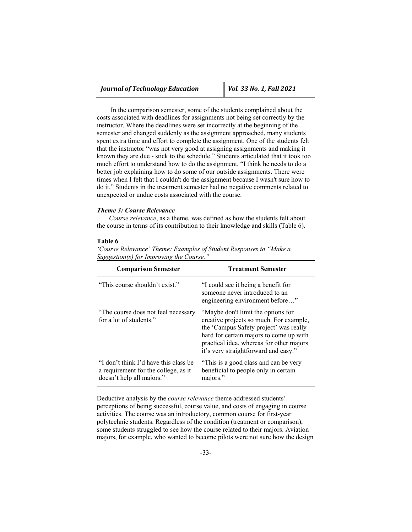In the comparison semester, some of the students complained about the costs associated with deadlines for assignments not being set correctly by the instructor. Where the deadlines were set incorrectly at the beginning of the semester and changed suddenly as the assignment approached, many students spent extra time and effort to complete the assignment. One of the students felt that the instructor "was not very good at assigning assignments and making it known they are due - stick to the schedule." Students articulated that it took too much effort to understand how to do the assignment, "I think he needs to do a better job explaining how to do some of our outside assignments. There were times when I felt that I couldn't do the assignment because I wasn't sure how to do it." Students in the treatment semester had no negative comments related to unexpected or undue costs associated with the course.

## *Theme 3: Course Relevance*

*Course relevance*, as a theme, was defined as how the students felt about the course in terms of its contribution to their knowledge and skills (Table 6).

## **Table 6**

| <b>Comparison Semester</b>                                                                                 | <b>Treatment Semester</b>                                                                                                                                                                                                                              |
|------------------------------------------------------------------------------------------------------------|--------------------------------------------------------------------------------------------------------------------------------------------------------------------------------------------------------------------------------------------------------|
| "This course shouldn't exist."                                                                             | "I could see it being a benefit for<br>someone never introduced to an<br>engineering environment before"                                                                                                                                               |
| "The course does not feel necessary"<br>for a lot of students."                                            | "Maybe don't limit the options for<br>creative projects so much. For example,<br>the 'Campus Safety project' was really<br>hard for certain majors to come up with<br>practical idea, whereas for other majors<br>it's very straightforward and easy." |
| "I don't think I'd have this class be<br>a requirement for the college, as it<br>doesn't help all majors." | "This is a good class and can be very<br>beneficial to people only in certain<br>majors."                                                                                                                                                              |

*'Course Relevance' Theme: Examples of Student Responses to "Make a Suggestion(s) for Improving the Course."* 

Deductive analysis by the *course relevance* theme addressed students' perceptions of being successful, course value, and costs of engaging in course activities. The course was an introductory, common course for first-year polytechnic students. Regardless of the condition (treatment or comparison), some students struggled to see how the course related to their majors. Aviation majors, for example, who wanted to become pilots were not sure how the design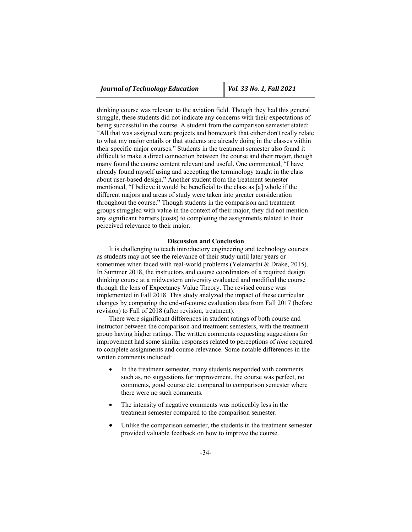thinking course was relevant to the aviation field. Though they had this general struggle, these students did not indicate any concerns with their expectations of being successful in the course. A student from the comparison semester stated: "All that was assigned were projects and homework that either don't really relate to what my major entails or that students are already doing in the classes within their specific major courses." Students in the treatment semester also found it difficult to make a direct connection between the course and their major, though many found the course content relevant and useful. One commented, "I have already found myself using and accepting the terminology taught in the class about user-based design." Another student from the treatment semester mentioned, "I believe it would be beneficial to the class as [a] whole if the different majors and areas of study were taken into greater consideration throughout the course." Though students in the comparison and treatment groups struggled with value in the context of their major, they did not mention any significant barriers (costs) to completing the assignments related to their perceived relevance to their major.

### **Discussion and Conclusion**

It is challenging to teach introductory engineering and technology courses as students may not see the relevance of their study until later years or sometimes when faced with real-world problems (Yelamarthi & Drake, 2015). In Summer 2018, the instructors and course coordinators of a required design thinking course at a midwestern university evaluated and modified the course through the lens of Expectancy Value Theory. The revised course was implemented in Fall 2018. This study analyzed the impact of these curricular changes by comparing the end-of-course evaluation data from Fall 2017 (before revision) to Fall of 2018 (after revision, treatment).

There were significant differences in student ratings of both course and instructor between the comparison and treatment semesters, with the treatment group having higher ratings. The written comments requesting suggestions for improvement had some similar responses related to perceptions of *time* required to complete assignments and course relevance. Some notable differences in the written comments included:

- In the treatment semester, many students responded with comments such as, no suggestions for improvement, the course was perfect, no comments, good course etc. compared to comparison semester where there were no such comments.
- The intensity of negative comments was noticeably less in the treatment semester compared to the comparison semester.
- Unlike the comparison semester, the students in the treatment semester provided valuable feedback on how to improve the course.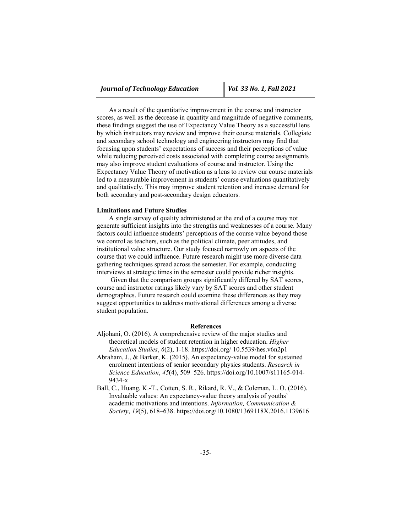As a result of the quantitative improvement in the course and instructor scores, as well as the decrease in quantity and magnitude of negative comments, these findings suggest the use of Expectancy Value Theory as a successful lens by which instructors may review and improve their course materials. Collegiate and secondary school technology and engineering instructors may find that focusing upon students' expectations of success and their perceptions of value while reducing perceived costs associated with completing course assignments may also improve student evaluations of course and instructor. Using the Expectancy Value Theory of motivation as a lens to review our course materials led to a measurable improvement in students' course evaluations quantitatively and qualitatively. This may improve student retention and increase demand for both secondary and post-secondary design educators.

### **Limitations and Future Studies**

A single survey of quality administered at the end of a course may not generate sufficient insights into the strengths and weaknesses of a course. Many factors could influence students' perceptions of the course value beyond those we control as teachers, such as the political climate, peer attitudes, and institutional value structure. Our study focused narrowly on aspects of the course that we could influence. Future research might use more diverse data gathering techniques spread across the semester. For example, conducting interviews at strategic times in the semester could provide richer insights.

 Given that the comparison groups significantly differed by SAT scores, course and instructor ratings likely vary by SAT scores and other student demographics. Future research could examine these differences as they may suggest opportunities to address motivational differences among a diverse student population.

### **References**

- Aljohani, O. (2016). A comprehensive review of the major studies and theoretical models of student retention in higher education. *Higher Education Studies*, *6*(2), 1-18. https://doi.org/ 10.5539/hes.v6n2p1
- Abraham, J., & Barker, K. (2015). An expectancy-value model for sustained enrolment intentions of senior secondary physics students. *Research in Science Education*, *45*(4), 509–526. https://doi.org/10.1007/s11165-014- 9434-x
- Ball, C., Huang, K.-T., Cotten, S. R., Rikard, R. V., & Coleman, L. O. (2016). Invaluable values: An expectancy-value theory analysis of youths' academic motivations and intentions. *Information, Communication & Society*, *19*(5), 618–638. https://doi.org/10.1080/1369118X.2016.1139616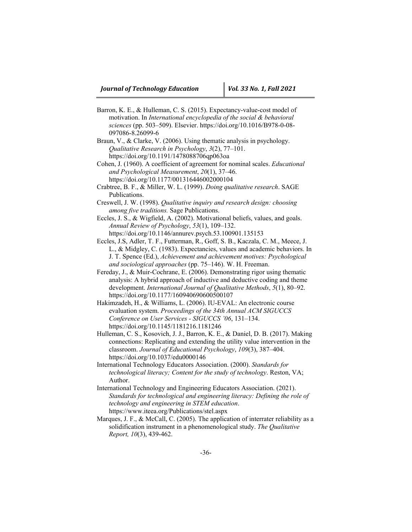- Barron, K. E., & Hulleman, C. S. (2015). Expectancy-value-cost model of motivation. In *International encyclopedia of the social & behavioral sciences* (pp. 503–509). Elsevier. https://doi.org/10.1016/B978-0-08- 097086-8.26099-6
- Braun, V., & Clarke, V. (2006). Using thematic analysis in psychology. *Qualitative Research in Psychology*, *3*(2), 77–101. https://doi.org/10.1191/1478088706qp063oa
- Cohen, J. (1960). A coefficient of agreement for nominal scales. *Educational and Psychological Measurement*, *20*(1), 37–46. https://doi.org/10.1177/001316446002000104
- Crabtree, B. F., & Miller, W. L. (1999). *Doing qualitative research*. SAGE Publications.
- Creswell, J. W. (1998). *Qualitative inquiry and research design: choosing among five traditions.* Sage Publications.
- Eccles, J. S., & Wigfield, A. (2002). Motivational beliefs, values, and goals. *Annual Review of Psychology*, *53*(1), 109–132.
	- https://doi.org/10.1146/annurev.psych.53.100901.135153
- Eccles, J.S, Adler, T. F., Futterman, R., Goff, S. B., Kaczala, C. M., Meece, J. L., & Midgley, C. (1983). Expectancies, values and academic behaviors. In J. T. Spence (Ed.), *Achievement and achievement motives: Psychological and sociological approaches* (pp. 75–146). W. H. Freeman.
- Fereday, J., & Muir-Cochrane, E. (2006). Demonstrating rigor using thematic analysis: A hybrid approach of inductive and deductive coding and theme development. *International Journal of Qualitative Methods*, *5*(1), 80–92. https://doi.org/10.1177/160940690600500107
- Hakimzadeh, H., & Williams, L. (2006). IU-EVAL: An electronic course evaluation system. *Proceedings of the 34th Annual ACM SIGUCCS Conference on User Services - SIGUCCS '06*, 131–134. https://doi.org/10.1145/1181216.1181246
- Hulleman, C. S., Kosovich, J. J., Barron, K. E., & Daniel, D. B. (2017). Making connections: Replicating and extending the utility value intervention in the classroom. *Journal of Educational Psychology*, *109*(3), 387–404. https://doi.org/10.1037/edu0000146
- International Technology Educators Association. (2000). *Standards for technological literacy; Content for the study of technology*. Reston, VA; Author.
- International Technology and Engineering Educators Association. (2021). *Standards for technological and engineering literacy: Defining the role of technology and engineering in STEM education*. https://www.iteea.org/Publications/stel.aspx
- Marques, J. F., & McCall, C. (2005). The application of interrater reliability as a solidification instrument in a phenomenological study. *The Qualitative Report, 10*(3), 439-462.